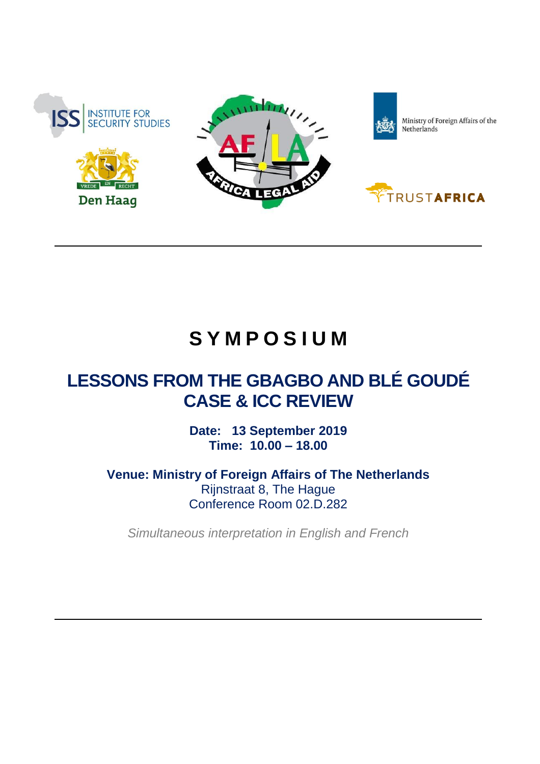





Ministry of Foreign Affairs of the<br>Netherlands



## **S Y M P O S I U M**

## **LESSONS FROM THE GBAGBO AND BLÉ GOUDÉ CASE & ICC REVIEW**

**Date: 13 September 2019 Time: 10.00 – 18.00**

**Venue: Ministry of Foreign Affairs of The Netherlands** Rijnstraat 8, The Hague Conference Room 02.D.282

*Simultaneous interpretation in English and French*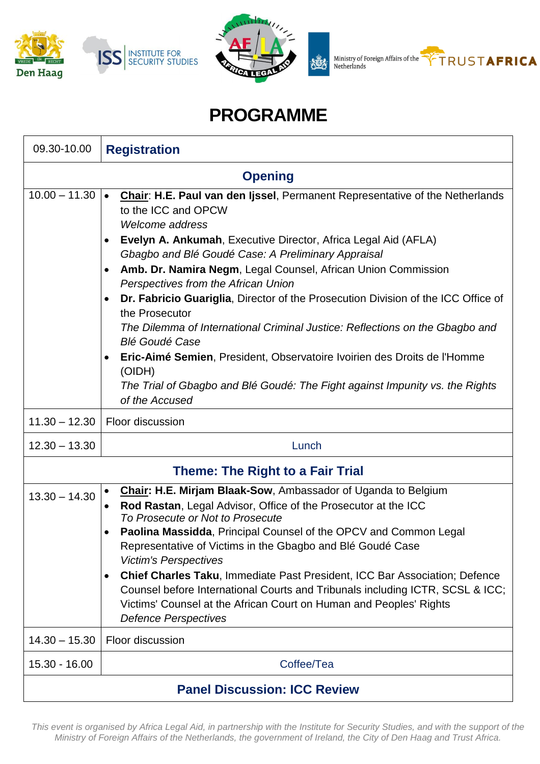



Ministry of Foreign Affairs of the<br>Netherlands 翘



## **PROGRAMME**

| 09.30-10.00                             | <b>Registration</b>                                                                                                                                                                                                                                                                                                                                                                                                                                                                                                                                                                                                                                                                                                                                                         |
|-----------------------------------------|-----------------------------------------------------------------------------------------------------------------------------------------------------------------------------------------------------------------------------------------------------------------------------------------------------------------------------------------------------------------------------------------------------------------------------------------------------------------------------------------------------------------------------------------------------------------------------------------------------------------------------------------------------------------------------------------------------------------------------------------------------------------------------|
| <b>Opening</b>                          |                                                                                                                                                                                                                                                                                                                                                                                                                                                                                                                                                                                                                                                                                                                                                                             |
| $10.00 - 11.30$ $\bullet$               | Chair: H.E. Paul van den Ijssel, Permanent Representative of the Netherlands<br>to the ICC and OPCW<br>Welcome address<br>Evelyn A. Ankumah, Executive Director, Africa Legal Aid (AFLA)<br>Gbagbo and Blé Goudé Case: A Preliminary Appraisal<br>Amb. Dr. Namira Negm, Legal Counsel, African Union Commission<br>Perspectives from the African Union<br>Dr. Fabricio Guariglia, Director of the Prosecution Division of the ICC Office of<br>the Prosecutor<br>The Dilemma of International Criminal Justice: Reflections on the Gbagbo and<br><b>Blé Goudé Case</b><br>Eric-Aimé Semien, President, Observatoire Ivoirien des Droits de l'Homme<br>$\bullet$<br>(OIDH)<br>The Trial of Gbagbo and Blé Goudé: The Fight against Impunity vs. the Rights<br>of the Accused |
| $11.30 - 12.30$                         | <b>Floor discussion</b>                                                                                                                                                                                                                                                                                                                                                                                                                                                                                                                                                                                                                                                                                                                                                     |
| $12.30 - 13.30$                         | Lunch                                                                                                                                                                                                                                                                                                                                                                                                                                                                                                                                                                                                                                                                                                                                                                       |
| <b>Theme: The Right to a Fair Trial</b> |                                                                                                                                                                                                                                                                                                                                                                                                                                                                                                                                                                                                                                                                                                                                                                             |
| $13.30 - 14.30$                         | Chair: H.E. Mirjam Blaak-Sow, Ambassador of Uganda to Belgium<br>Rod Rastan, Legal Advisor, Office of the Prosecutor at the ICC<br>To Prosecute or Not to Prosecute<br>Paolina Massidda, Principal Counsel of the OPCV and Common Legal<br>Representative of Victims in the Gbagbo and Blé Goudé Case<br><b>Victim's Perspectives</b><br><b>Chief Charles Taku, Immediate Past President, ICC Bar Association; Defence</b><br>$\bullet$<br>Counsel before International Courts and Tribunals including ICTR, SCSL & ICC;<br>Victims' Counsel at the African Court on Human and Peoples' Rights<br><b>Defence Perspectives</b>                                                                                                                                               |
| $14.30 - 15.30$                         | Floor discussion                                                                                                                                                                                                                                                                                                                                                                                                                                                                                                                                                                                                                                                                                                                                                            |
| $15.30 - 16.00$                         | Coffee/Tea                                                                                                                                                                                                                                                                                                                                                                                                                                                                                                                                                                                                                                                                                                                                                                  |
| <b>Panel Discussion: ICC Review</b>     |                                                                                                                                                                                                                                                                                                                                                                                                                                                                                                                                                                                                                                                                                                                                                                             |

This event is organised by Africa Legal Aid, in partnership with the Institute for Security Studies, and with the support of the Ministry of Foreign Affairs of the Netherlands, the government of Ireland, the City of Den Haag and Trust Africa.